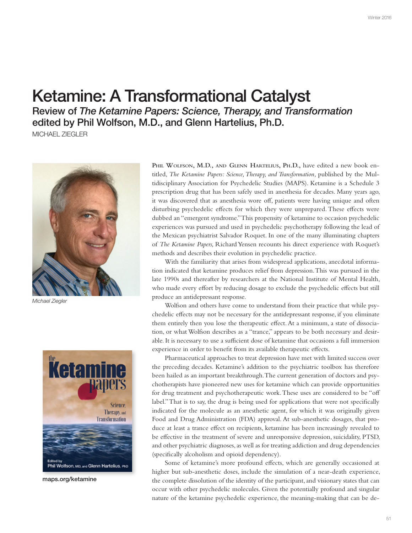## **Ketamine: A Transformational Catalyst**

Review of The Ketamine Papers: Science, Therapy, and Transformation edited by Phil Wolfson, M.D., and Glenn Hartelius, Ph.D.

MICHAEL ZIEGLER



Michael Ziegler



maps.org/ketamine

PHIL WOLFSON, M.D., AND GLENN HARTELIUS, PH.D., have edited a new book entitled, The Ketamine Papers: Science, Therapy, and Transformation, published by the Multidisciplinary Association for Psychedelic Studies (MAPS). Ketamine is a Schedule 3 prescription drug that has been safely used in anesthesia for decades. Many years ago, it was discovered that as anesthesia wore off, patients were having unique and often disturbing psychedelic effects for which they were unprepared. These effects were dubbed an "emergent syndrome." This propensity of ketamine to occasion psychedelic experiences was pursued and used in psychedelic psychotherapy following the lead of the Mexican psychiatrist Salvador Roquet. In one of the many illuminating chapters of The Ketamine Papers, Richard Yensen recounts his direct experience with Roquet's methods and describes their evolution in psychedelic practice.

With the familiarity that arises from widespread applications, anecdotal information indicated that ketamine produces relief from depression. This was pursued in the late 1990s and thereafter by researchers at the National Institute of Mental Health, who made every effort by reducing dosage to exclude the psychedelic effects but still produce an antidepressant response.

Wolfson and others have come to understand from their practice that while psychedelic effects may not be necessary for the antidepressant response, if you eliminate them entirely then you lose the therapeutic effect. At a minimum, a state of dissociation, or what Wolfson describes as a "trance," appears to be both necessary and desirable. It is necessary to use a sufficient dose of ketamine that occasions a full immersion experience in order to benefit from its available therapeutic effects.

Pharmaceutical approaches to treat depression have met with limited success over the preceding decades. Ketamine's addition to the psychiatric toolbox has therefore been hailed as an important breakthrough. The current generation of doctors and psychotherapists have pioneered new uses for ketamine which can provide opportunities for drug treatment and psychotherapeutic work. These uses are considered to be "off label." That is to say, the drug is being used for applications that were not specifically indicated for the molecule as an anesthetic agent, for which it was originally given Food and Drug Administration (FDA) approval. At sub-anesthetic dosages, that produce at least a trance effect on recipients, ketamine has been increasingly revealed to be effective in the treatment of severe and unresponsive depression, suicidality, PTSD, and other psychiatric diagnoses, as well as for treating addiction and drug dependencies (specifically alcoholism and opioid dependency).

Some of ketamine's more profound effects, which are generally occasioned at higher but sub-anesthetic doses, include the simulation of a near-death experience, the complete dissolution of the identity of the participant, and visionary states that can occur with other psychedelic molecules. Given the potentially profound and singular nature of the ketamine psychedelic experience, the meaning-making that can be de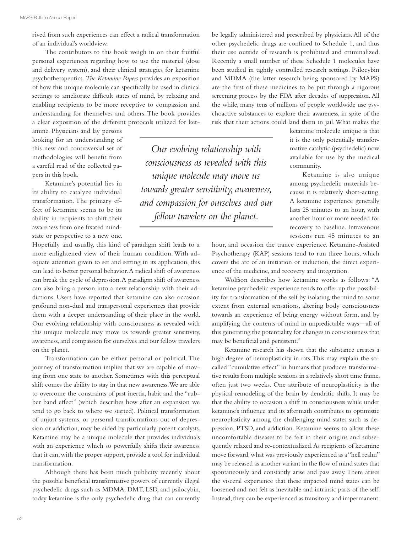rived from such experiences can efect a radical transformation of an individual's worldview.

The contributors to this book weigh in on their fruitful personal experiences regarding how to use the material (dose and delivery system), and their clinical strategies for ketamine psychotherapeutics. *The Ketamine Papers* provides an exposition of how this unique molecule can specifcally be used in clinical settings to ameliorate difficult states of mind, by relaxing and enabling recipients to be more receptive to compassion and understanding for themselves and others. The book provides a clear exposition of the diferent protocols utilized for ket-

amine. Physicians and lay persons looking for an understanding of this new and controversial set of methodologies will beneft from a careful read of the collected papers in this book.

Ketamine's potential lies in its ability to catalyze individual transformation. The primary effect of ketamine seems to be its ability in recipients to shift their awareness from one fxated mindstate or perspective to a new one.

Hopefully and usually, this kind of paradigm shift leads to a more enlightened view of their human condition. With adequate attention given to set and setting in its application, this can lead to better personal behavior. A radical shift of awareness can break the cycle of depression. A paradigm shift of awareness can also bring a person into a new relationship with their addictions. Users have reported that ketamine can also occasion profound non-dual and transpersonal experiences that provide them with a deeper understanding of their place in the world. Our evolving relationship with consciousness as revealed with this unique molecule may move us towards greater sensitivity, awareness, and compassion for ourselves and our fellow travelers on the planet.

Transformation can be either personal or political. The journey of transformation implies that we are capable of moving from one state to another. Sometimes with this perceptual shift comes the ability to stay in that new awareness. We are able to overcome the constraints of past inertia, habit and the "rubber band efect" (which describes how after an expansion we tend to go back to where we started). Political transformation of unjust systems, or personal transformations out of depression or addiction, may be aided by particularly potent catalysts. Ketamine may be a unique molecule that provides individuals with an experience which so powerfully shifts their awareness that it can, with the proper support, provide a tool for individual transformation.

Although there has been much publicity recently about the possible benefcial transformative powers of currently illegal psychedelic drugs such as MDMA, DMT, LSD, and psilocybin, today ketamine is the only psychedelic drug that can currently

*Our evolving relationship with consciousness as revealed with this unique molecule may move us towards greater sensitivity, awareness, and compassion for ourselves and our fellow travelers on the planet.*

be legally administered and prescribed by physicians. All of the other psychedelic drugs are confned to Schedule 1, and thus their use outside of research is prohibited and criminalized. Recently a small number of these Schedule 1 molecules have been studied in tightly controlled research settings. Psilocybin and MDMA (the latter research being sponsored by MAPS) are the frst of these medicines to be put through a rigorous screening process by the FDA after decades of suppression. All the while, many tens of millions of people worldwide use psychoactive substances to explore their awareness, in spite of the risk that their actions could land them in jail. What makes the

> ketamine molecule unique is that it is the only potentially transformative catalytic (psychedelic) now available for use by the medical community.

> Ketamine is also unique among psychedelic materials because it is relatively short-acting. A ketamine experience generally lasts 25 minutes to an hour, with another hour or more needed for recovery to baseline. Intravenous sessions run 45 minutes to an

hour, and occasion the trance experience. Ketamine-Assisted Psychotherapy (KAP) sessions tend to run three hours, which covers the arc of an initiation or induction, the direct experience of the medicine, and recovery and integration.

Wolfson describes how ketamine works as follows: "A ketamine psychedelic experience tends to offer up the possibility for transformation of the self by isolating the mind to some extent from external sensations, altering body consciousness towards an experience of being energy without form, and by amplifying the contents of mind in unpredictable ways—all of this generating the potentiality for changes in consciousness that may be beneficial and persistent."

Ketamine research has shown that the substance creates a high degree of neuroplasticity in rats. This may explain the socalled "cumulative efect" in humans that produces transformative results from multiple sessions in a relatively short time frame, often just two weeks. One attribute of neuroplasticity is the physical remodeling of the brain by dendritic shifts. It may be that the ability to occasion a shift in consciousness while under ketamine's infuence and its aftermath contributes to optimistic neuroplasticity among the challenging mind states such as depression, PTSD, and addiction. Ketamine seems to allow these uncomfortable diseases to be felt in their origins and subsequently relaxed and re-contextualized. As recipients of ketamine move forward, what was previously experienced as a "hell realm" may be released as another variant in the fow of mind states that spontaneously and constantly arise and pass away. There arises the visceral experience that these impacted mind states can be loosened and not felt as inevitable and intrinsic parts of the self. Instead, they can be experienced as transitory and impermanent.